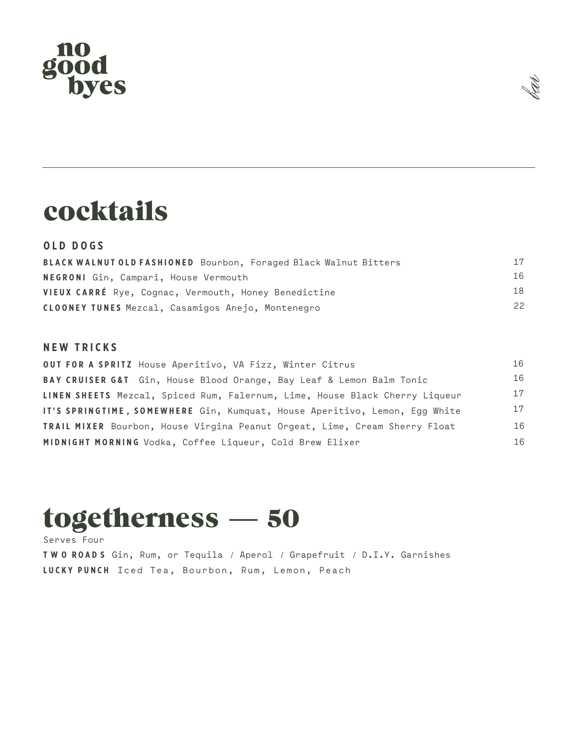# no<br>good<br>byes



### cocktails

### **O L D DOG S**

| BLACK WALNUT OLD FASHIONED Bourbon, Foraged Black Walnut Bitters | 17 |
|------------------------------------------------------------------|----|
| <b>NEGRONI</b> Gin, Campari, House Vermouth                      | 16 |
| VIEUX CARRÉ Rye, Cognac, Vermouth, Honey Benedictine             | 18 |
| CLOONEY TUNES Mezcal, Casamigos Anejo, Montenegro                | 22 |

#### **N E W TRICK S**

| OUT FOR A SPRITZ House Aperitivo, VA Fizz, Winter Citrus                          | 16 |
|-----------------------------------------------------------------------------------|----|
| BAY CRUISER G&T Gin, House Blood Orange, Bay Leaf & Lemon Balm Tonic              | 16 |
| LINEN SHEETS Mezcal, Spiced Rum, Falernum, Lime, House Black Cherry Liqueur       | 17 |
| IT'S SPRINGTIME, SOMEWHERE Gin, Kumquat, House Aperitivo, Lemon, Egg White        | 17 |
| <b>TRAIL MIXER</b> Bourbon, House Virgina Peanut Orgeat, Lime, Cream Sherry Float | 16 |
| MIDNIGHT MORNING Vodka, Coffee Liqueur, Cold Brew Elixer                          | 16 |

## togetherness — 50

Serves Four **T W O ROAD S** Gin, Rum, or Tequila / Aperol / Grapefruit / D.I.Y. Garnishes **LUCKY PUNCH** Iced Tea, Bourbon, Rum, Lemon, Peach